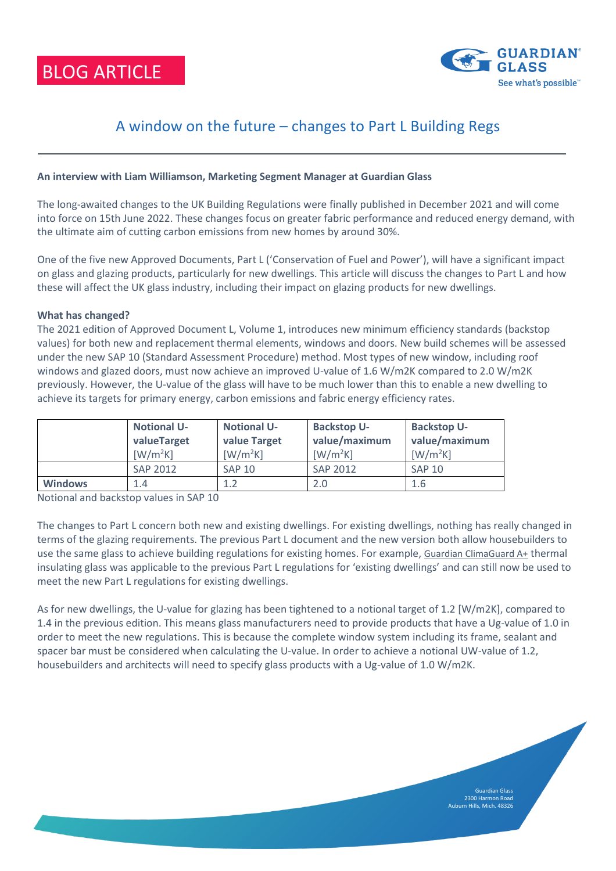BLOG ARTICLE



Guardian Glass 2300 Harmon Road Auburn Hills, Mich. 48326

# A window on the future – changes to Part L Building Regs

# **An interview with Liam Williamson, Marketing Segment Manager at Guardian Glass**

The long-awaited changes to the UK Building Regulations were finally published in December 2021 and will come into force on 15th June 2022. These changes focus on greater fabric performance and reduced energy demand, with the ultimate aim of cutting carbon emissions from new homes by around 30%.

One of the five new Approved Documents, Part L ('Conservation of Fuel and Power'), will have a significant impact on glass and glazing products, particularly for new dwellings. This article will discuss the changes to Part L and how these will affect the UK glass industry, including their impact on glazing products for new dwellings.

# **What has changed?**

The 2021 edition of Approved Document L, Volume 1, introduces new minimum efficiency standards (backstop values) for both new and replacement thermal elements, windows and doors. New build schemes will be assessed under the new SAP 10 (Standard Assessment Procedure) method. Most types of new window, including roof windows and glazed doors, must now achieve an improved U-value of 1.6 W/m2K compared to 2.0 W/m2K previously. However, the U-value of the glass will have to be much lower than this to enable a new dwelling to achieve its targets for primary energy, carbon emissions and fabric energy efficiency rates.

|                | <b>Notional U-</b><br>valueTarget<br>$\lceil W/m^2K \rceil$ | <b>Notional U-</b><br>value Target<br>$\left[\text{W}/\text{m}^2\text{K}\right]$ | <b>Backstop U-</b><br>value/maximum<br>$[W/m^2K]$ | <b>Backstop U-</b><br>value/maximum<br>$\left[\text{W}/\text{m}^2\text{K}\right]$ |
|----------------|-------------------------------------------------------------|----------------------------------------------------------------------------------|---------------------------------------------------|-----------------------------------------------------------------------------------|
|                | SAP 2012                                                    | <b>SAP 10</b>                                                                    | SAP 2012                                          | <b>SAP 10</b>                                                                     |
| <b>Windows</b> | 1.4                                                         | 1.2                                                                              | 2.0                                               | 1.6                                                                               |

Notional and backstop values in SAP 10

The changes to Part L concern both new and existing dwellings. For existing dwellings, nothing has really changed in terms of the glazing requirements. The previous Part L document and the new version both allow housebuilders to use the same glass to achieve building regulations for existing homes. For example, [Guardian ClimaGuard A+](https://www.guardianglass.com/gb/en/our-glass/climaguard/product.28089.climaguard-neutral10?region=GB&page=1&networkOfSuppliers=&sortBy=a-z) thermal insulating glass was applicable to the previous Part L regulations for 'existing dwellings' and can still now be used to meet the new Part L regulations for existing dwellings.

As for new dwellings, the U-value for glazing has been tightened to a notional target of 1.2 [W/m2K], compared to 1.4 in the previous edition. This means glass manufacturers need to provide products that have a Ug-value of 1.0 in order to meet the new regulations. This is because the complete window system including its frame, sealant and spacer bar must be considered when calculating the U-value. In order to achieve a notional UW-value of 1.2, housebuilders and architects will need to specify glass products with a Ug-value of 1.0 W/m2K.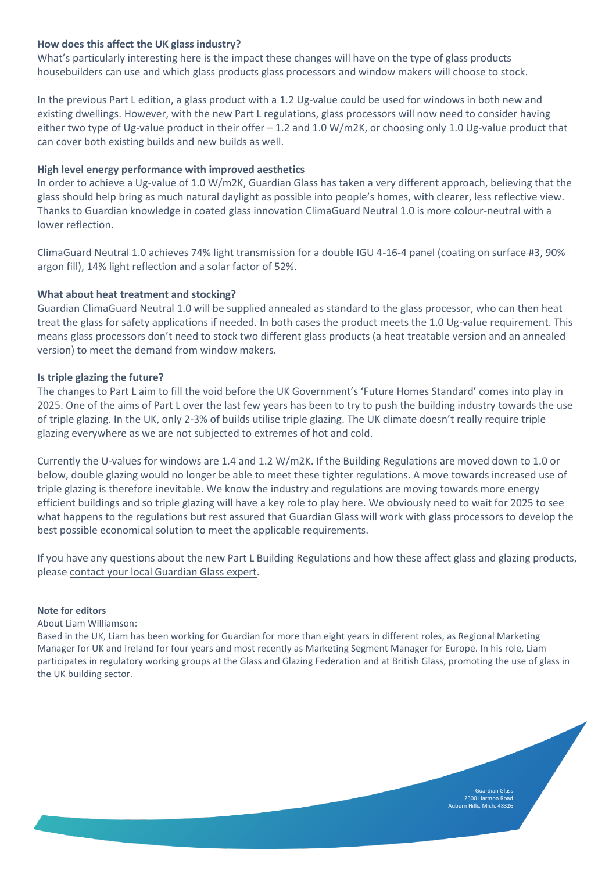# **How does this affect the UK glass industry?**

What's particularly interesting here is the impact these changes will have on the type of glass products housebuilders can use and which glass products glass processors and window makers will choose to stock.

In the previous Part L edition, a glass product with a 1.2 Ug-value could be used for windows in both new and existing dwellings. However, with the new Part L regulations, glass processors will now need to consider having either two type of Ug-value product in their offer – 1.2 and 1.0 W/m2K, or choosing only 1.0 Ug-value product that can cover both existing builds and new builds as well.

# **High level energy performance with improved aesthetics**

In order to achieve a Ug-value of 1.0 W/m2K, Guardian Glass has taken a very different approach, believing that the glass should help bring as much natural daylight as possible into people's homes, with clearer, less reflective view. Thanks to Guardian knowledge in coated glass innovation ClimaGuard Neutral 1.0 is more colour-neutral with a lower reflection.

ClimaGuard Neutral 1.0 achieves 74% light transmission for a double IGU 4-16-4 panel (coating on surface #3, 90% argon fill), 14% light reflection and a solar factor of 52%.

## **What about heat treatment and stocking?**

Guardian ClimaGuard Neutral 1.0 will be supplied annealed as standard to the glass processor, who can then heat treat the glass for safety applications if needed. In both cases the product meets the 1.0 Ug-value requirement. This means glass processors don't need to stock two different glass products (a heat treatable version and an annealed version) to meet the demand from window makers.

## **Is triple glazing the future?**

The changes to Part L aim to fill the void before the UK Government's 'Future Homes Standard' comes into play in 2025. One of the aims of Part L over the last few years has been to try to push the building industry towards the use of triple glazing. In the UK, only 2-3% of builds utilise triple glazing. The UK climate doesn't really require triple glazing everywhere as we are not subjected to extremes of hot and cold.

Currently the U-values for windows are 1.4 and 1.2 W/m2K. If the Building Regulations are moved down to 1.0 or below, double glazing would no longer be able to meet these tighter regulations. A move towards increased use of triple glazing is therefore inevitable. We know the industry and regulations are moving towards more energy efficient buildings and so triple glazing will have a key role to play here. We obviously need to wait for 2025 to see what happens to the regulations but rest assured that Guardian Glass will work with glass processors to develop the best possible economical solution to meet the applicable requirements.

If you have any questions about the new Part L Building Regulations and how these affect glass and glazing products, please [contact your local Guardian Glass expert.](https://www.guardianglass.com/gb/en/who-we-are/help-and-contact/contact-us)

#### **Note for editors**

About Liam Williamson:

Based in the UK, Liam has been working for Guardian for more than eight years in different roles, as Regional Marketing Manager for UK and Ireland for four years and most recently as Marketing Segment Manager for Europe. In his role, Liam participates in regulatory working groups at the Glass and Glazing Federation and at British Glass, promoting the use of glass in the UK building sector.

> 2300 Harmon Road Auburn Hills, Mich. 48326

Guardian Glass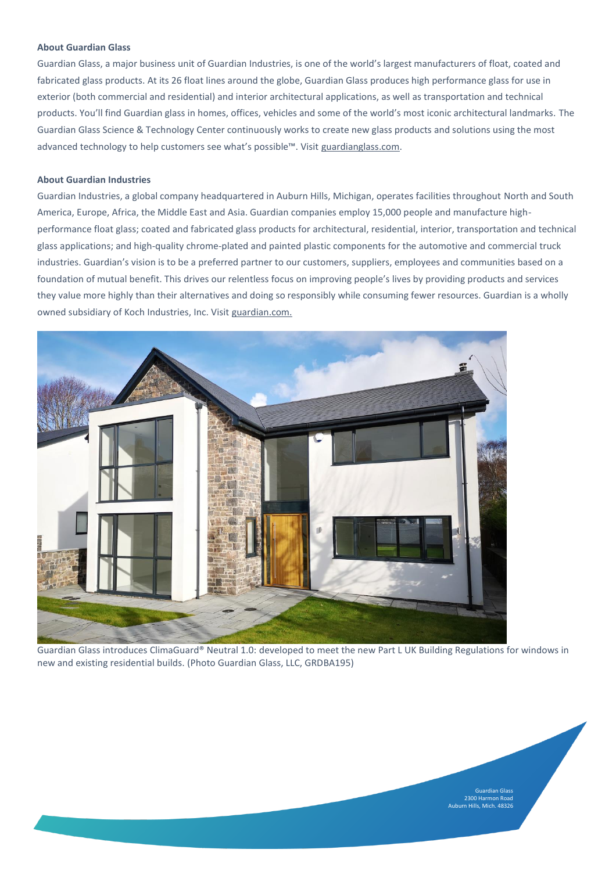#### **About Guardian Glass**

Guardian Glass, a major business unit of Guardian Industries, is one of the world's largest manufacturers of float, coated and fabricated glass products. At its 26 float lines around the globe, Guardian Glass produces high performance glass for use in exterior (both commercial and residential) and interior architectural applications, as well as transportation and technical products. You'll find Guardian glass in homes, offices, vehicles and some of the world's most iconic architectural landmarks. The Guardian Glass Science & Technology Center continuously works to create new glass products and solutions using the most advanced technology to help customers see what's possible™. Visit [guardianglass.com.](https://www.guardianglass.com/us)

#### **About Guardian Industries**

Guardian Industries, a global company headquartered in Auburn Hills, Michigan, operates facilities throughout North and South America, Europe, Africa, the Middle East and Asia. Guardian companies employ 15,000 people and manufacture highperformance float glass; coated and fabricated glass products for architectural, residential, interior, transportation and technical glass applications; and high-quality chrome-plated and painted plastic components for the automotive and commercial truck industries. Guardian's vision is to be a preferred partner to our customers, suppliers, employees and communities based on a foundation of mutual benefit. This drives our relentless focus on improving people's lives by providing products and services they value more highly than their alternatives and doing so responsibly while consuming fewer resources. Guardian is a wholly owned subsidiary of Koch Industries, Inc. Visit [guardian.com.](http://guardian.com/)



Guardian Glass introduces ClimaGuard® Neutral 1.0: developed to meet the new Part L UK Building Regulations for windows in new and existing residential builds. (Photo Guardian Glass, LLC, GRDBA195)